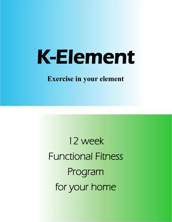# K-Element

**Exercise in your element**

12 week Functional Fitness Program for your home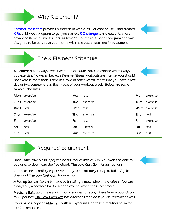## Why K-Element?

[KemmeFitness.com p](http://kemmefitness.com/)rovides hundreds of workouts. For ease of use, I had created [K-Fit,](http://kemmefitness.com/resources/k-fit) a 12 week program to get you started. [K-Challenge](http://kemmefitness.com/resources/k-challenge/) was created for more advanced Kemme Fitness users. K-Element is our third 12 week program and was designed to be utilized at your home with little cost investment in equipment.

## The K-Element Schedule

K-Element has a 4-day a week workout schedule. You can choose what 4 days you exercise. However, because Kemme Fitness workouts are intense, you should not exercise more than 3 days in a row. In other words, make sure you have a rest day or two somewhere in the middle of your workout week. Below are some sample schedules:

|          | Mon exercise  | Mon rest |                     |     | Mon exercise         |
|----------|---------------|----------|---------------------|-----|----------------------|
|          | Tues exercise |          | <b>Tue</b> exercise |     | <b>Tues</b> exercise |
| Wed rest |               | Wed rest |                     |     | <b>Wed</b> exercise  |
| Thu      | exercise      | Thu      | exercise            | Thu | rest                 |
| Fri      | exercise      | Fri      | rest                | Fri | exercise             |
| Sat      | rest          | Sat      | exercise            | Sat | rest                 |
| Sun      | rest          | Sun      | exercise            | Sun | rest                 |

## Required Equipment

Slosh Tube (AKA Slosh Pipe) can be built for as little as \$15. You won't be able to buy one, so download the free ebook, **[The Low Cost Gym](http://kemmefitness.com/2011/09/08/the-low-cost-gym-ebook-is-now-here-and-its-free/)** for instructions.

Clubbells are incredibly expensive to buy, but extremely cheap to build. Again, check out **The Low Cost Gym** for directions.

A Pull-up bar can be easily made by installing a metal pipe in the rafters. You can always buy a portable bar for a doorway, however, those cost more.

Medicine Balls go on sale a lot. I would suggest one anywhere from 6 pounds up to 20 pounds. [The Low Cost Gym h](http://kemmefitness.com/2011/09/08/the-low-cost-gym-ebook-is-now-here-and-its-free/)as directions for a do-it-yourself version as well.

If you have a copy of K-Element with no hyperlinks, go to kemmefitness.com for the free resources.



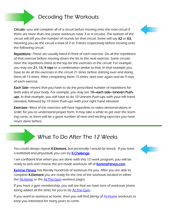## Decoding The Workouts

Circuits—you will complete all of a circuit before moving onto the next circuit if there are more than one (some workouts have 3 or 4 circuits). The bottom of the circuit will tell you the number of rounds for that circuit. Some will say X2 or X3, meaning you do the circuit a total of 2 or 3 times respectively before moving onto the following circuit.

Repetitions—These are usually listed in front of each exercise. Do all the repetitions of that exercise before moving down the list to the next exercise. Some circuits have the repetitions listed at the top for the exercises in the circuit. For example, you may see 21, 15, 9 reps or a combination similar to that. In that example you have to do all the exercises in the circuit 21 times before starting over and doing them all 15 times. After completing them 15 times, start over again and do 9 reps of each exercise.

Each Side—means that you have to do the prescribed number of repetitions for both sides of your body. For example, you may see 10—each side—Uneven Pushups. In that example, you will have to do 10 Uneven Push-ups with your left hand elevated, followed by 10 more Push-ups with your right hand elevated.

Exercises—Most of the exercises will have hyperlinks to video demonstrations in order for you to understand proper form. It may take a while to get over the learning curve, as there will be a great number of new and exciting exercises you have never done before.

## What To Do After The 12 Weeks

You could always repeat K-Element, but personally I would be bored. If you have a kettlebell and physioball, you can try **K-Challenge**.

I am confident that when you are done with this 12 week program, you will be ready to pick and choose the pre-made workouts off of **KemmeFitness.com**.

[Kemme Fitness h](http://kemmefitness.com)as literally hundreds of workouts for you. After you are able to complete K-Element you are ready for the rest of the workouts located in either the **[At-Home](http://kemmefitness.com/workouts/at-home)** or the **[At-The-Gym](http://kemmefitness.com/workouts/at-the-gym)** workout pages.

If you have a gym membership, you will see that we have tons of workouts (more being added all the time) for you to do [At-The-Gym.](http://kemmefitness.com/workouts/at-the-gym)

If you want to workout at home, then you will find plenty of **[At-Home](http://kemmefitness.com/workouts/at-home)** workouts to keep you interested for many years to come.



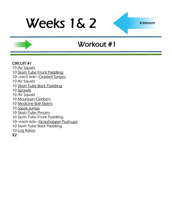K-Element

## Workout #1

### CIRCUIT #1

- 10 [Air Squats](http://www.youtube.com/watch?v=zf2SWnIQbwI&feature=player_embedded)
- 10 [Slosh Tube Front Paddling](http://www.youtube.com/watch?v=_jsdfsSSy9U&playnext=1&list=PL9842C33FCDE8BC6C)
- 10—each side—[Clubbell Swipes](http://www.youtube.com/watch?v=igK2ScEBdXE&feature=related)
- 10 Air Squats
- 10 [Slosh Tube Back Paddling](http://www.youtube.com/watch?v=_jsdfsSSy9U&playnext=1&list=PL9842C33FCDE8BC6C)
- 10 [Sprawls](http://www.youtube.com/watch?v=y0CcmNMeJV0&feature=related)
- 10 Air Squats
- 10 [Mountain Climbers](http://www.youtube.com/watch?v=DHjdc2QVRUQ)
- 10 [Medicine Ball Sliders](http://www.youtube.com/watch?v=CCH0lPn9gP0)
- 10 [Squat Jumps](http://www.youtube.com/watch?v=56vWSQaTbSo)
- 10 [Slosh Tube Presses](http://www.youtube.com/watch?v=vIM3YWsV2HM)
- 10 Slosh Tube Front Paddling
- 10—each side—[Grasshopper Push-ups](http://www.youtube.com/watch?v=cURjlCMV3vE)
- 10 Slosh Tube Back Paddling
- 10 [Leg Raises](http://www.youtube.com/watch?v=gMo97vRBg5A)

## X2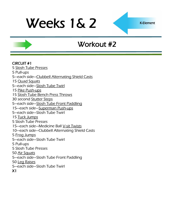## Workout #2

#### CIRCUIT #1

[Slosh Tube Presses](http://www.youtube.com/watch?v=vIM3YWsV2HM)

- 5 Pull-ups
- —each side—[Clubbell Alternating Shield Casts](http://www.youtube.com/watch?v=QhUMHrO7AyA&NR=1)
- [Quad Squats](http://www.youtube.com/watch?v=5Q5v3WaT-yY)
- —each side—[Slosh Tube Twirl](http://www.youtube.com/watch?v=ZS1epDw12PQ)
- [Pike Push-ups](http://www.youtube.com/watch?v=EA8g7q9jauM)
- [Slosh Tube Bench Press Throws](http://www.youtube.com/watch?v=7TsC7-mSFoA&feature=related)
- 30 second [Stutter Steps](http://www.youtube.com/watch?v=Zx-mRiCVbOw)
- —each side—[Slosh Tube Front Paddling](http://www.youtube.com/watch?v=_jsdfsSSy9U&playnext=1&list=PL9842C33FCDE8BC6C)
- —each side—[Superman Push-ups](http://www.youtube.com/watch?feature=player_embedded&v=fFm5phmWZvo)
- —each side—Slosh Tube Twirl
- [Tuck Jumps](http://www.youtube.com/watch?v=JlI_oY2Qmro&feature=related)
- 5 Slosh Tube Presses
- 15-each side-Medicine Ball [V-sit Twists](http://www.youtube.com/watch?v=f7bu0Tb5hUw)
- —each side—Clubbell Alternating Shield Casts
- [Frog Jumps](http://www.youtube.com/watch?v=ot_to1gZwjI)
- —each side—Slosh Tube Twirl
- 5 Pull-ups
- 5 Slosh Tube Presses
- [Air Squats](http://www.youtube.com/watch?v=zf2SWnIQbwI&feature=player_embedded)
- —each side—Slosh Tube Front Paddling
- [Leg Raises](http://www.youtube.com/watch?v=gMo97vRBg5A)
- —each side—Slosh Tube Twirl
- X1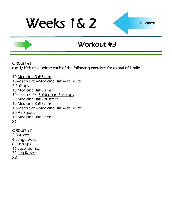K-Element

## Workout #3

### CIRCUIT #1 run 1/10th mile before each of the following exercises for a total of 1 mile

10 [Medicine Ball Slams](http://www.youtube.com/watch?v=12IUGflssEI) 10-each side-Medicine Ball [V-sit Twists](http://www.youtube.com/watch?v=f7bu0Tb5hUw) 5 Pull-ups 10 Medicine Ball Slams 10—each side—[Spiderman Push-ups](http://www.youtube.com/watch?v=PmoinoBow1Q) 20 [Medicine Ball Thrusters](http://www.youtube.com/watch?v=9PmMKO9UCNI) 10 Medicine Ball Slams 10—each side—Medicine Ball V-sit Twists 50 [Air Squats](http://www.youtube.com/watch?v=iOdwETDQXCw) 10 Medicine Ball Slams X1

### CIRCUIT #2

2 [Burpees](http://www.youtube.com/watch?v=c_Dq_NCzj8M&feature=related) 4 [Lunge Walk](http://www.youtube.com/watch?v=fPCSGUhgxxk) 8 Push-ups 16 [Squat Jumps](http://www.youtube.com/watch?v=56vWSQaTbSo) 32 [Leg Raises](http://www.youtube.com/watch?v=gMo97vRBg5A) X2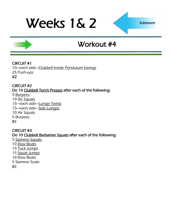## Workout #4

### CIRCUIT #1

10—each side—[Clubbell Inside Pendulum Swings](http://www.youtube.com/watch?v=1nI8HBN-Sm0&feature=related) 25 Push-ups X2

CIRCUIT #2 Do 10 [Clubbell Torch Presses a](http://www.youtube.com/watch?v=KFluTacbjKU&feature=related)fter each of the following:

5 [Burpees](http://www.youtube.com/watch?v=c_Dq_NCzj8M&feature=related) 10 [Air Squats](http://www.youtube.com/watch?v=zf2SWnIQbwI&feature=player_embedded) 15—each side—[Lunge Twists](http://www.youtube.com/watch?v=H0HLl6DnQ90) 15—each side—[Side Lunges](http://www.youtube.com/watch?v=TzhEkzoTcZ4) 10 Air Squats 5 Burpees X1

CIRCUIT #3 Do 10 [Clubbell Barbarian Squats](http://www.youtube.com/watch?v=_mUeEjvF6LU) after each of the following: 5 [Siamese Squats](http://www.youtube.com/watch?v=o3nHRWuxTf0) 10 [Row Boats](http://www.youtube.com/watch?v=BoI8gn3YRcQ) 15 [Tuck Jumps](http://www.youtube.com/watch?v=JlI_oY2Qmro&feature=related)

- 15 [Squat Jumps](http://www.youtube.com/watch?v=56vWSQaTbSo)
- 10 Row Boats
- 5 Siamese Suats
- X1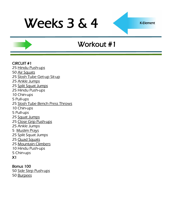K-Element

## Workout #1

#### CIRCUIT #1

25 [Hindu Push-ups](http://www.youtube.com/watch?v=9ndOPrcoUt8) 50 [Air Squats](http://www.youtube.com/watch?v=zf2SWnIQbwI&feature=player_embedded) 25 [Slosh Tube Get-up Sit-up](http://www.youtube.com/watch?v=8GtA5_3p-KQ) 25 [Ankle Jumps](http://www.youtube.com/watch?v=Yrbq2ytO78s) 25 [Split Squat Jumps](http://www.youtube.com/watch?v=CK7xI0wa04g) 25 Hindu Push-ups 10 Chin-ups 5 Pull-ups 25 [Slosh Tube Bench Press Throws](http://www.youtube.com/watch?v=7TsC7-mSFoA&feature=related) 10 Chin-ups 5 Pull-ups 25 [Squat Jumps](http://www.youtube.com/watch?v=56vWSQaTbSo) 25 [Close Grip Push-ups](http://www.youtube.com/watch?feature=player_embedded&v=fFm5phmWZvo) 25 Ankle Jumps 5 [Muslim Prays](http://www.youtube.com/watch?v=8PhRjhCtu3U) 25 Split Squat Jumps 25 [Quad Squats](http://www.youtube.com/watch?v=5Q5v3WaT-yY) 25 [Mountain Climbers](http://www.youtube.com/watch?v=DHjdc2QVRUQ) 10 Hindu Push-ups 5 Chin-ups X1

## Bonus 100

50 [Side Step Push-ups](http://www.youtube.com/watch?v=wb_JckVmoi8) 50 [Burpees](http://www.youtube.com/watch?v=c_Dq_NCzj8M&feature=related)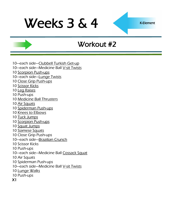K-Element

## Workout #2

- 10—each side—[Clubbell Turkish Get-up](http://www.youtube.com/watch?v=szaFKM4RFiY)
- 10—each side—Medicine Ball [V-sit Twists](http://www.youtube.com/watch?v=f7bu0Tb5hUw)
- 10 [Scorpion Push-ups](http://www.youtube.com/watch?v=C7s158CTJgs)
- 10—each side—[Lunge Twists](http://www.youtube.com/watch?v=H0HLl6DnQ90)
- 10 [Close Grip Push-ups](http://www.youtube.com/watch?v=CWkkn0uo-P4)
- 10 [Scissor Kicks](http://www.youtube.com/watch?v=XyLTb8ZTh48)
- 10 [Leg Raises](http://www.youtube.com/watch?v=gMo97vRBg5A)
- 10 Push-ups
- 10 [Medicine Ball Thrusters](http://www.youtube.com/watch?v=9PmMKO9UCNI)
- 10 [Air Squats](http://www.youtube.com/watch?v=iOdwETDQXCw)
- 10 [Spiderman Push-ups](http://www.youtube.com/watch?v=PmoinoBow1Q)
- 10 [Knees to Elbows](http://www.surfbodyfitness.com/crossfitknees2elbows)
- 10 [Tuck Jumps](http://www.youtube.com/watch?v=JlI_oY2Qmro&feature=related)
- 10 [Scorpion Push-ups](http://www.youtube.com/watch?v=C7s158CTJgs)
- 10 [Squat Jumps](http://www.youtube.com/watch?v=56vWSQaTbSo)
- 10 [Siamese Squats](http://www.youtube.com/watch?v=o3nHRWuxTf0)
- 10 Close Grip Push-ups
- 10—each side—[Brazilian Crunch](http://www.youtube.com/watch?v=r6J94se3Bs4)
- 10 Scissor Kicks
- 10 Push-ups
- 10—each side—Medicine Ball [Cossack Squat](http://www.youtube.com/watch?v=cuB056L2Fas)
- 10 Air Squats
- 10 Spiderman Push-ups
- 10-each side-Medicine Ball [V-sit Twists](http://www.youtube.com/watch?v=f7bu0Tb5hUw)
- 10 [Lunge Walks](http://www.youtube.com/watch?v=fPCSGUhgxxk)
- 10 Push-ups
- X1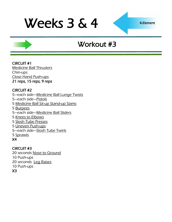K-Element

## Workout #3

#### CIRCUIT #1 [Medicine Ball Thrusters](http://www.youtube.com/watch?v=9PmMKO9UCNI) Chin-ups [Close Hand Push-ups](http://www.youtube.com/watch?feature=player_embedded&v=fFm5phmWZvo) 21 reps, 15 reps, 9 reps

### CIRCUIT #2

- 5—each side—[Medicine Ball Lunge Twists](http://www.youtube.com/watch?v=H0HLl6DnQ90)
- 5—each side—[Pistols](http://www.youtube.com/watch?v=FqmYSjE6C2Y)
- 5 [Medicine Ball Sit-up Stand-up Slams](http://www.youtube.com/watch?v=tuNLQyVAclI)
- 5 [Burpees](http://www.youtube.com/watch?v=c_Dq_NCzj8M&feature=related)
- 5—each side—[Medicine Ball Sliders](http://www.youtube.com/watch?v=CCH0lPn9gP0)
- 5 [Knees to Elbows](http://www.surfbodyfitness.com/crossfitknees2elbows)
- 5 [Slosh Tube Presses](http://www.youtube.com/watch?v=vIM3YWsV2HM)
- 5 [Uneven Push-ups](http://www.youtube.com/watch?v=RZOK0QS1NMg)
- 5—each side—[Slosh Tube Twirls](http://www.youtube.com/watch?v=ZS1epDw12PQ)
- 5 [Sprawls](http://www.youtube.com/watch?v=y0CcmNMeJV0&feature=related)

## X4

## CIRCUIT #3

20 seconds [Nose to Ground](http://www.youtube.com/watch?v=Qjt1m6LHVxw) 10 Push-ups 20 seconds [Leg Raises](http://www.youtube.com/watch?v=gMo97vRBg5A) 10 Push-ups

X3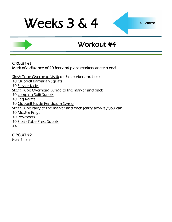## Workout #4

#### CIRCUIT #1 Mark of a distance of 40 feet and place markers at each end

[Slosh Tube Overhead Walk](http://www.youtube.com/watch?v=NNGS3FwMlZc) to the marker and back 10 [Clubbell Barbarian Squats](http://www.youtube.com/watch?v=_mUeEjvF6LU) 10 Scissor Kicks [Slosh Tube Overhead Lunge](http://www.youtube.com/watch?v=DzIxDjqs6AE) to the marker and back 10 [Jumping Split Squats](http://www.youtube.com/watch?v=CK7xI0wa04g) 10 [Leg Raises](http://www.youtube.com/watch?v=gMo97vRBg5A) 10 [Clubbell Inside Pendulum Swing](http://www.youtube.com/watch?v=1nI8HBN-Sm0&feature=related) Slosh Tube carry to the marker and back (carry anyway you can) 10 [Muslim Prays](http://www.youtube.com/watch?v=8PhRjhCtu3U) 10 [Rowboats](http://www.youtube.com/watch?v=BoI8gn3YRcQ) 10 [Slosh Tube Press Squats](http://www.youtube.com/watch?v=vIM3YWsV2HM&feature=related) X4

### CIRCUIT #2

Run 1 mile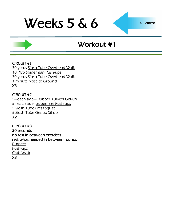K-Element

## Workout #1

### CIRCUIT #1

30 yards [Slosh Tube Overhead Walk](http://www.youtube.com/watch?v=NNGS3FwMlZc) 10 [Plyo Spiderman Push-ups](http://newwarriortraining.com/new-warrior-workouts-plyo-spidey-push-ups-400m-interval-sprint/) 30 yards Slosh Tube Overhead Walk 1 minute [Nose to Ground](http://www.youtube.com/watch?v=Qjt1m6LHVxw) X3

### CIRCUIT #2

—each side—[Clubbell Turkish Get-up](http://www.youtube.com/watch?v=szaFKM4RFiY) —each side—[Superman Push-ups](http://www.youtube.com/watch?feature=player_embedded&v=fFm5phmWZvo) [Slosh Tube Press Squat](http://www.youtube.com/watch?v=vIM3YWsV2HM&feature=related) [Slosh Tube Get-up Sit-up](http://www.youtube.com/watch?v=8GtA5_3p-KQ) X2

CIRCUIT #3 30 seconds no rest in between exercises rest what needed in between rounds [Burpees](http://www.youtube.com/watch?v=c_Dq_NCzj8M&feature=related) Push-ups [Crab Walk](http://www.youtube.com/watch?v=U7n_qKGtPZ4) X3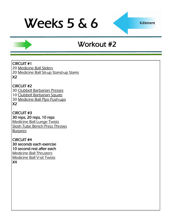K-Element

## Workout #2

### CIRCUIT #1

20 [Medicine Ball Sliders](http://www.youtube.com/watch?v=CCH0lPn9gP0) 20 [Medicine Ball Sit-up Stand-up Slams](http://www.youtube.com/watch?v=tuNLQyVAclI) X2

### CIRCUIT #2

[Clubbell Barbarian Presses](http://www.youtube.com/watch?v=U-grbpA6t3c&feature=related) [Clubbell Barbarian Squats](http://www.youtube.com/watch?v=_mUeEjvF6LU) [Medicine Ball Plyo Push-ups](http://www.youtube.com/watch?v=_FUU8bUxQtk) X2

CIRCUIT #3 30 reps, 20 reps, 10 reps [Medicine Ball Lunge Twists](http://www.youtube.com/watch?v=H0HLl6DnQ90) [Slosh Tube Bench Press Throws](http://www.youtube.com/watch?v=7TsC7-mSFoA&feature=related) **[Burpees](http://www.youtube.com/watch?v=c_Dq_NCzj8M&feature=related)** 

CIRCUIT #4 30 seconds each exercise 10 second rest after each [Medicine Ball Thrusters](http://www.youtube.com/watch?v=9PmMKO9UCNI) [Medicine Ball V-sit Twists](http://www.youtube.com/watch?v=JHgeOdp-COA) X4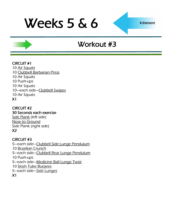K-Element

## Workout #3

### CIRCUIT #1

10 [Air Squats](http://www.youtube.com/watch?v=zf2SWnIQbwI&feature=player_embedded) 10 [Clubbell Barbarian Press](http://www.youtube.com/watch?v=U-grbpA6t3c&feature=related) 10 Air Squats 10 Push-ups 10 Air Squats 10—each side—[Clubbell Swipes](http://www.youtube.com/watch?v=igK2ScEBdXE&feature=related) 10 Air Squats X1

#### CIRCUIT #2 30 Seconds each exercise [Side Plank](http://www.youtube.com/watch?v=_6vjo5yFo1U) (left side) [Nose to Ground](http://www.youtube.com/watch?v=Qjt1m6LHVxw)

Side Plank (right side) X2

### CIRCUIT #3

—each side—[Clubbell Side Lunge Pendulum](http://www.youtube.com/watch?v=1T004c0Cz14&feature=related) [Brazilian Crunch](http://www.youtube.com/watch?v=r6J94se3Bs4) —each side—[Clubbell Rear Lunge Pendulum](http://www.youtube.com/watch?v=hBIVxyM7YTc&feature=related) 10 Push-ups —each side—[Medicine Ball Lunge Twist](http://www.youtube.com/watch?v=H0HLl6DnQ90) [Slosh Tube Burpees](http://www.youtube.com/watch?v=ZS1epDw12PQ) 5-each side-[Side Lunges](http://www.youtube.com/watch?v=TzhEkzoTcZ4) X1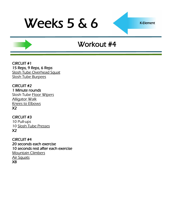K-Element

## Workout #4

CIRCUIT #1 15 Reps, 9 Reps, 6 Reps [Slosh Tube Overhead Squat](http://www.youtube.com/watch?v=PY-3nISJj3s) [Slosh Tube Burpees](http://www.youtube.com/watch?v=ZS1epDw12PQ)

CIRCUIT #2 1 Minute rounds Slosh Tube [Floor Wipers](http://www.youtube.com/watch?v=VQLtfH9clx4) [Alligator Walk](http://www.youtube.com/watch?v=NngcUQVO8ME) [Knees to Elbows](http://www.surfbodyfitness.com/crossfitknees2elbows) X2

CIRCUIT #3 10 Pull-ups 10 [Slosh Tube Presses](http://www.youtube.com/watch?v=vIM3YWsV2HM) X2

CIRCUIT #4 20 seconds each exercise 10 seconds rest after each exercise [Mountain Climbers](http://www.youtube.com/watch?v=DHjdc2QVRUQ) [Air Squats](http://www.youtube.com/watch?v=zf2SWnIQbwI&feature=player_embedded) X8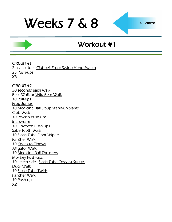## Workout #1

#### CIRCUIT #1

2—each side—[Clubbell Front Swing Hand Switch](http://www.youtube.com/watch?v=7BRhmcMyUhU&feature=related) 25 Push-ups X3

CIRCUIT #2 30 seconds each walk Bear Walk or [Wild Bear Walk](http://www.youtube.com/watch?v=Y6fvxyhPpH8) 10 Pull-ups [Frog Jumps](http://www.youtube.com/watch?v=ot_to1gZwjI) 10 [Medicine Ball Sit-up Stand-up Slams](http://www.youtube.com/watch?v=tuNLQyVAclI) [Crab Walk](http://www.youtube.com/watch?v=U7n_qKGtPZ4) 10 [Psycho Push-ups](http://www.youtube.com/watch?v=FB9EpuP2pSE) **[Inchworm](http://www.youtube.com/watch?v=X68AJbL8oMM)** 10 [Unveven Push-ups](http://www.youtube.com/watch?v=RZOK0QS1NMg) [Sabertooth Walk](http://www.youtube.com/watch?v=LaytCn25U_A&feature=fvw) 10 Slosh Tube [Floor Wipers](http://www.youtube.com/watch?v=VQLtfH9clx4) [Panther Walk](http://www.youtube.com/watch?v=K6iLOTeBwwo) 10 [Knees to Elbows](http://www.surfbodyfitness.com/crossfitknees2elbows) [Alligator Walk](http://www.youtube.com/watch?v=NngcUQVO8ME) 10 [Medicine Ball Thrusters](http://www.youtube.com/watch?v=9PmMKO9UCNI) [Monkey Push-ups](http://www.youtube.com/watch?v=YJnPmIuRqzs) 10—each side—[Slosh Tube Cossack Squats](http://www.youtube.com/watch?v=_jsdfsSSy9U&playnext=1&list=PL9842C33FCDE8BC6C) [Duck Walk](http://www.youtube.com/watch?v=e5lPjg0GhFM&feature=related) 10 [Slosh Tube Twirls](http://www.youtube.com/watch?v=ZS1epDw12PQ) Panther Walk 10 Push-ups X2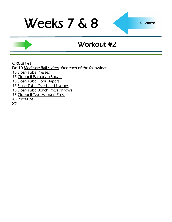K-Element

## Workout #2

#### CIRCUIT #1

Do 10 [Medicine Ball sliders](http://www.youtube.com/watch?v=CCH0lPn9gP0) after each of the following:

- 15 [Slosh Tube Presses](http://www.youtube.com/watch?v=vIM3YWsV2HM)
- 15 [Clubbell Barbarian Squats](http://www.youtube.com/watch?v=_mUeEjvF6LU)
- 15 Slosh Tube **Floor Wipers**
- 15 [Slosh Tube Overhead Lunges](http://www.youtube.com/watch?v=DzIxDjqs6AE)
- 15 [Slosh Tube Bench Press Throws](http://www.youtube.com/watch?v=7TsC7-mSFoA&feature=related)
- 15 [Clubbell Two Handed Press](http://www.youtube.com/watch?v=ZLwgEO6J89U&feature=mfu_in_order&list=UL)
- 45 Push-ups
- X2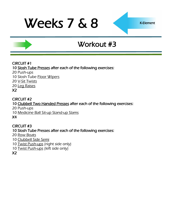K-Element

## Workout #3

### CIRCUIT #1

10 [Slosh Tube Presses](http://www.youtube.com/watch?v=vIM3YWsV2HM) after each of the following exercises:

20 Push-ups

10 Slosh Tube **Floor Wipers** 

20 [V-Sit Twists](http://www.youtube.com/watch?v=f7bu0Tb5hUw)

20 [Leg Raises](http://www.youtube.com/watch?v=gMo97vRBg5A)

X2

#### CIRCUIT #2 10 [Clubbell Two Handed Presses](http://www.youtube.com/watch?v=ZLwgEO6J89U&feature=mfu_in_order&list=UL) after each of the following exercises: 20 Push-ups

10 [Medicine Ball Sit-up Stand-up Slams](http://www.youtube.com/watch?v=tuNLQyVAclI)

X4

## CIRCUIT #3

## 10 Slosh Tube Presses after each of the following exercises:

20 [Row Boats](http://www.youtube.com/watch?v=BoI8gn3YRcQ)

10 [Clubbell Side Semi](http://www.youtube.com/watch?v=gOfojLQy0BQ)

- 10 [Twist Push-ups](http://www.youtube.com/watch?v=b27ZGq3Wxo4) (right side only)
- 10 [Twist Push-ups](http://www.youtube.com/watch?v=b27ZGq3Wxo4) (left side only)

X2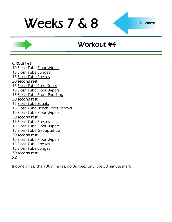K-Element

## Workout #4

#### CIRCUIT #1

- 10 Slosh Tube [Floor Wipers](http://www.youtube.com/watch?v=VQLtfH9clx4)
- 15 [Slosh Tube Lunges](http://www.youtube.com/watch?v=DzIxDjqs6AE)
- 15 [Slosh Tube Presses](http://www.youtube.com/watch?v=vIM3YWsV2HM)

#### 30 second rest

- 15 [Slosh Tube Press Squat](http://www.youtube.com/watch?v=vIM3YWsV2HM&feature=related)
- 10 Slosh Tube Floor Wipers
- 15 [Slosh Tube Front Paddling](http://www.youtube.com/watch?v=_jsdfsSSy9U&playnext=1&list=PL9842C33FCDE8BC6C)

#### 30 second rest

- 15 [Slosh Tube Squats](http://www.youtube.com/watch?v=4z9CWXp-h9s&feature=fvwrel)
- 15 [Slosh Tube Bench Press Throws](http://www.youtube.com/watch?v=7TsC7-mSFoA&feature=related)
- 10 Slosh Tube Floor Wipers

#### 30 second rest

- 15 Slosh Tube Presses
- 10 Slosh Tube Floor Wipers
- 15 [Slosh Tube Get-up Sit-up](http://www.youtube.com/watch?v=8GtA5_3p-KQ)

#### 30 second rest

- 10 Slosh Tube Floor Wipers
- 15 Slosh Tube Presses
- 15 Slosh Tube Lunges

#### 30 second rest

#### X2

If done in less than 30 minutes, do [Burpees](http://www.youtube.com/watch?v=c_Dq_NCzj8M&feature=related) until the 30 minute mark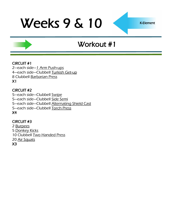K-Element

## Workout #1

### CIRCUIT #1

2-each side-[1 Arm Push-ups](http://www.youtube.com/watch?v=hCiMScUXTp0) 4—each side—Clubbell [Turkish Get-up](http://www.youtube.com/watch?v=szaFKM4RFiY) 8 Clubbell [Barbarian Press](http://api.viglink.com/api/click?format=go&key=cdee124b11d6baacda6c3e29b12e23dc&loc=http%3A%2F%2Fkemmefitness.com%2Fexercises%2F&v=1&libid=1315353638075&out=http%3A%2F%2Fwww.youtube.com%2Fwatch%3Fv%3DU-grbpA6t3c%26feature%3Drelated&ref=http%3A%2F%2Fkemmefitne) X1

### CIRCUIT #2

—each side—Clubbell [Swipe](http://www.youtube.com/watch?v=igK2ScEBdXE&feature=related) —each side—Clubbell [Side Semi](http://www.youtube.com/watch?v=gOfojLQy0BQ) —each side—Clubbell [Alternating Shield Cast](http://www.youtube.com/watch?v=QhUMHrO7AyA&NR=1) —each side—Clubbell [Torch Press](http://www.youtube.com/watch?v=KFluTacbjKU&feature=related)

X4

### CIRCUIT #3

2 [Burpees](http://www.youtube.com/watch?v=c_Dq_NCzj8M&feature=related) 5 [Donkey Kicks](http://www.youtube.com/watch?v=ElXtaOqr7Ak) 10 Clubbell [Two Handed Press](http://www.youtube.com/watch?v=ZLwgEO6J89U&feature=mfu_in_order&list=UL) 20 [Air Squats](http://www.youtube.com/watch?v=iOdwETDQXCw)

X3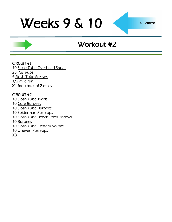K-Element

## Workout #2

### CIRCUIT #1

10 [Slosh Tube Overhead Squat](http://www.youtube.com/watch?v=PY-3nISJj3s) 25 Push-ups 5 [Slosh Tube Presses](http://www.youtube.com/watch?v=vIM3YWsV2HM) 1/2 mile run X4 for a total of 2 miles

### CIRCUIT #2

- 10 [Slosh Tube Twirls](http://www.youtube.com/watch?v=ZS1epDw12PQ)
- 10 [Core Burpees](http://www.youtube.com/watch?v=AzWzW1kfgws)
- 10 [Slosh Tube Burpees](http://www.youtube.com/watch?v=ZS1epDw12PQ)
- 10 [Spiderman Push-ups](http://www.youtube.com/watch?v=PmoinoBow1Q)
- 10 [Slosh Tube Bench Press Throws](http://www.youtube.com/watch?v=7TsC7-mSFoA&feature=related)
- 10 [Burpees](http://www.youtube.com/watch?v=c_Dq_NCzj8M&feature=related)
- 10 [Slosh Tube Cossack Squats](http://www.youtube.com/watch?v=_jsdfsSSy9U&playnext=1&list=PL9842C33FCDE8BC6C)
- 10 [Uneven Push-ups](http://www.youtube.com/watch?v=RZOK0QS1NMg)
- X3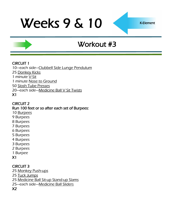K-Element

## Workout #3

### CIRCUIT 1

10—each side—[Clubbell Side Lunge Pendulum](http://www.youtube.com/watch?v=1T004c0Cz14&feature=related) 25 [Donkey Kicks](http://www.youtube.com/watch?v=ElXtaOqr7Ak) 1 minute [V-Sit](http://www.youtube.com/watch?v=I_1KGrBx2T4) 1 minute [Nose to Ground](http://www.youtube.com/watch?v=Qjt1m6LHVxw) 50 [Slosh Tube Presses](http://www.youtube.com/watch?v=vIM3YWsV2HM) 20—each side—[Medicine Ball V Sit Twists](http://www.youtube.com/watch?v=JHgeOdp-COA) X1

### CIRCUIT 2

Run 100 feet or so after each set of Burpees:

10 [Burpees](http://www.youtube.com/watch?v=c_Dq_NCzj8M&feature=related)

- 9 Burpees
- 8 Burpees
- 7 Burpees
- 6 Burpees
- 5 Burpees
- 4 Burpees
- 3 Burpees 2 Burpees
- 
- 1 Burpee

## X1

## CIRCUIT 3

- 25 [Monkey Push-ups](http://www.youtube.com/watch?v=YJnPmIuRqzs)
- 25 [Tuck Jumps](http://www.youtube.com/watch?v=JlI_oY2Qmro&feature=related)
- 25 [Medicine Ball Sit-up Stand-up Slams](http://www.youtube.com/watch?v=tuNLQyVAclI)
- 25—each side—[Medicine Ball Sliders](http://www.youtube.com/watch?v=CCH0lPn9gP0)

X2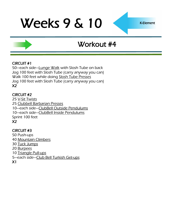## Workout #4

### CIRCUIT #1

50—each side—[Lunge Walk](http://www.youtube.com/watch?v=fPCSGUhgxxk) with Slosh Tube on back Jog 100 feet with Slosh Tube (carry anyway you can) Walk 100 feet while doing [Slosh Tube Presses](http://www.youtube.com/watch?v=vIM3YWsV2HM) Jog 100 feet with Slosh Tube (carry anyway you can) X2

### CIRCUIT #2

[V-Sit Twists](http://www.youtube.com/watch?v=f7bu0Tb5hUw) [Clubbell Barbarian Presses](http://www.youtube.com/watch?v=U-grbpA6t3c&feature=related) —each side—[ClubBell Outside Pendulums](http://www.youtube.com/watch?v=NfyItbWNJ-s&feature=related) —each side—[ClubBell Inside Pendulums](http://www.youtube.com/watch?v=1nI8HBN-Sm0&feature=related) Sprint 100 feet X2

### CIRCUIT #3

50 Push-ups 40 [Mountain Climbers](http://www.youtube.com/watch?v=DHjdc2QVRUQ) 30 [Tuck Jumps](http://www.youtube.com/watch?v=JlI_oY2Qmro&feature=related) 20 [Burpees](http://www.youtube.com/watch?v=c_Dq_NCzj8M&feature=related) 10 [Triangle Pull-ups](http://www.youtube.com/user/kemmefitness?feature=mhee#p/u/1/KtZ5feNwHjE) 5—each side—[Club Bell Turkish Get-ups](http://www.youtube.com/watch?v=szaFKM4RFiY) X1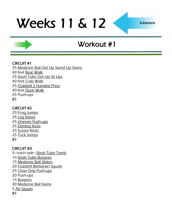K-Element

## Workout #1

### CIRCUIT #1

- 25 [Medicine Ball Get Up Stand Up Slams](http://www.youtube.com/watch?v=tuNLQyVAclI)
- 40 feet [Bear Walk](http://www.youtube.com/watch?v=-OKN0zDXC7k)
- 25 [Slosh Tube Get Up Sit Ups](http://www.youtube.com/watch?v=8GtA5_3p-KQ)
- 40 feet [Crab Walk](http://www.youtube.com/watch?v=U7n_qKGtPZ4)
- 25 [Clubbell 2 Handed Press](http://www.youtube.com/watch?v=ZLwgEO6J89U&feature=mfu_in_order&list=UL)
- 40 feet [Duck Walk](http://www.youtube.com/watch?v=e5lPjg0GhFM&feature=related)
- 25 Push-ups
- X1

## CIRCUIT #2

- 25 [Frog Jumps](http://www.youtube.com/watch?v=ot_to1gZwjI)
- 25 [Leg Raises](http://www.youtube.com/watch?v=gMo97vRBg5A)
- 25 [Uneven Push-ups](http://www.youtube.com/watch?v=RZOK0QS1NMg)
- 25 [Donkey Kicks](http://www.youtube.com/watch?v=ElXtaOqr7Ak)
- 25 [Scissor Kicks](http://www.youtube.com/watch?v=XyLTb8ZTh48)
- 25 [Tuck Jumps](http://www.youtube.com/watch?v=JlI_oY2Qmro&feature=related)
- X1

## CIRCUIT #3

- 5—each side—[Slosh Tube Twirls](http://www.youtube.com/watch?v=ZS1epDw12PQ)
- 10 [Slosh Tube Burpees](http://www.youtube.com/watch?v=ZS1epDw12PQ)
- 15 [Medicine Ball Sliders](http://www.youtube.com/watch?v=CCH0lPn9gP0)
- 20 [Clubbell Barbarian Squats](http://www.youtube.com/watch?v=_mUeEjvF6LU)
- 25 [Close Grip Push-ups](http://www.youtube.com/watch?v=CWkkn0uo-P4)
- 20 Push-ups
- 15 [Burpees](http://www.youtube.com/watch?v=c_Dq_NCzj8M&feature=related)
- 30 [Medicine Ball Slams](http://www.youtube.com/watch?v=12IUGflssEI)
- 5 [Air Squats](http://www.youtube.com/watch?v=iOdwETDQXCw)
- X1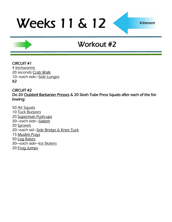## Workout #2

#### CIRCUIT #1 4 [Inchworms](http://www.youtube.com/watch?v=X68AJbL8oMM) 20 seconds [Crab Walk](http://www.youtube.com/watch?v=U7n_qKGtPZ4) 10—each side—[Side Lunges](http://www.youtube.com/watch?v=TzhEkzoTcZ4) X2

#### CIRCUIT #2 Do 20 [Clubbell Barbarian Presses &](http://www.youtube.com/watch?v=U-grbpA6t3c&feature=related) 20 Slosh Tube Press Squats after each of the following:

- 50 [Air Squats](http://www.youtube.com/watch?v=zf2SWnIQbwI&feature=player_embedded) 10 [Tuck Burpees](http://www.youtube.com/watch?v=_Xh_oPFG02M) 20 [Superman Push-ups](http://www.youtube.com/watch?feature=player_embedded&v=fFm5phmWZvo) 30—each side—[Slalom](http://www.youtube.com/watch?v=WfrB6n3la0Q) 20 [Sprawls](http://www.youtube.com/watch?v=y0CcmNMeJV0&feature=related) 20—each sid—[Side Bridge & Knee Tuck](http://www.youtube.com/watch?v=ys612bluWSc) 15 [Muslim Prays](http://www.youtube.com/watch?v=8PhRjhCtu3U) 50 [Leg Raises](http://www.youtube.com/watch?v=gMo97vRBg5A) 30—each side—[Ice Skaters](http://www.youtube.com/watch?v=NdVRPwPrWOM&feature=PlayList&p=68EAD6311C5A9513&playnext_from=PL&index=41&playnext=2)
- 20 [Frog Jumps](http://www.youtube.com/watch?v=ot_to1gZwjI)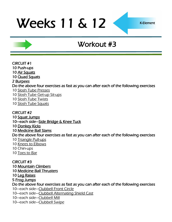## Workout #3

CIRCUIT #1 10 Push-ups [Air Squats](http://www.youtube.com/watch?v=zf2SWnIQbwI&feature=player_embedded) **[Quad Squats](http://www.youtube.com/watch?v=5Q5v3WaT-yY)** [Burpees](http://www.youtube.com/watch?v=c_Dq_NCzj8M&feature=related) Do the above four exercises as fast as you can after each of the following exercises [Slosh Tube Presses](http://www.youtube.com/watch?v=vIM3YWsV2HM)

[Slosh Tube Get-up Sit-ups](http://www.youtube.com/watch?v=8GtA5_3p-KQ)

[Slosh Tube Twists](http://www.youtube.com/watch?v=ZS1epDw12PQ)

[Slosh Tube Squats](http://www.youtube.com/watch?v=4z9CWXp-h9s&feature=fvwrel)

CIRCUIT #2

[Squat Jumps](http://www.youtube.com/watch?v=56vWSQaTbSo)

—each side—[Side Bridge & Knee Tuck](http://www.youtube.com/watch?v=ys612bluWSc)

[Donkey Kicks](http://www.youtube.com/watch?v=ElXtaOqr7Ak)

[Medicine Ball Slams](http://www.youtube.com/watch?v=12IUGflssEI)

Do the above four exercises as fast as you can after each of the following exercises

- [Triangle Pull-ups](http://www.youtube.com/user/kemmefitness?feature=mhee#p/u/1/KtZ5feNwHjE)
- [Knees to](http://www.surfbodyfitness.com/crossfitknees2elbows) Elbows
- 10 Chin-ups
- [Toes to Bar](http://www.youtube.com/watch?v=vbZNLQHFVh4)

CIRCUIT #3

[Mountain Climbers](http://www.youtube.com/watch?v=DHjdc2QVRUQ)

[Medicine Ball Thrusters](http://www.youtube.com/watch?v=9PmMKO9UCNI)

[Leg Raises](http://www.youtube.com/watch?v=gMo97vRBg5A)

[Frog Jumps](http://www.youtube.com/watch?v=ot_to1gZwjI)

Do the above four exercises as fast as you can after each of the following exercises

—each side—[Clubbell Front Circle](http://www.youtube.com/watch?v=HrpHIQnPATs&feature=related)

—each side—[Clubbell Alternating Shield Cast](http://www.youtube.com/watch?v=QhUMHrO7AyA&NR=1)

—each side—[Clubbell Mill](http://www.youtube.com/watch?v=IRxna45Tl3U&feature=related)

—each side—[Clubbell Swipe](http://www.youtube.com/watch?v=igK2ScEBdXE&feature=related)